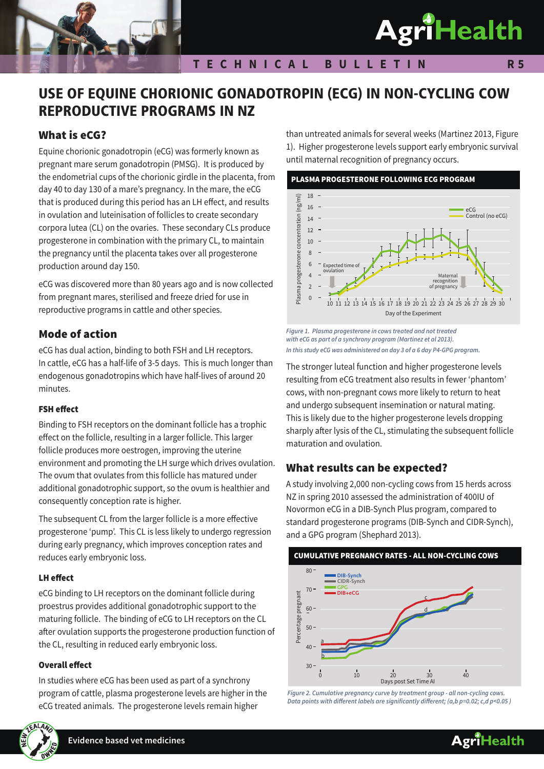# **AgriHealth**

## USE OF EQUINE CHORIONIC GONADOTROPIN (ECG) IN NON-CYCLING COW REPRODUCTIVE PROGRAMS IN NZ

## What is eCG?

Equine chorionic gonadotropin (eCG) was formerly known as pregnant mare serum gonadotropin (PMSG). It is produced by the endometrial cups of the chorionic girdle in the placenta, from day 40 to day 130 of a mare's pregnancy. In the mare, the eCG that is produced during this period has an LH effect, and results in ovulation and luteinisation of follicles to create secondary corpora lutea (CL) on the ovaries. These secondary CLs produce progesterone in combination with the primary CL, to maintain the pregnancy until the placenta takes over all progesterone production around day 150.

eCG was discovered more than 80 years ago and is now collected from pregnant mares, sterilised and freeze dried for use in reproductive programs in cattle and other species.

## Mode of action

eCG has dual action, binding to both FSH and LH receptors. In cattle, eCG has a half-life of 3-5 days. This is much longer than endogenous gonadotropins which have half-lives of around 20 minutes.

#### FSH effect

Binding to FSH receptors on the dominant follicle has a trophic effect on the follicle, resulting in a larger follicle. This larger follicle produces more oestrogen, improving the uterine environment and promoting the LH surge which drives ovulation. The ovum that ovulates from this follicle has matured under additional gonadotrophic support, so the ovum is healthier and consequently conception rate is higher.

The subsequent CL from the larger follicle is a more effective progesterone 'pump'. This CL is less likely to undergo regression during early pregnancy, which improves conception rates and reduces early embryonic loss.

#### LH effect

eCG binding to LH receptors on the dominant follicle during proestrus provides additional gonadotrophic support to the maturing follicle. The binding of eCG to LH receptors on the CL after ovulation supports the progesterone production function of the CL, resulting in reduced early embryonic loss.

#### Overall effect

In studies where eCG has been used as part of a synchrony program of cattle, plasma progesterone levels are higher in the eCG treated animals. The progesterone levels remain higher



**Evidence based vet medicines**

than untreated animals for several weeks (Martinez 2013, Figure 1). Higher progesterone levels support early embryonic survival until maternal recognition of pregnancy occurs.



*Figure 1. Plasma progesterone in cows treated and not treated with eCG as part of a synchrony program (Martinez et al 2013). In this study eCG was administered on day 3 of a 6 day P4-GPG program.*

The stronger luteal function and higher progesterone levels resulting from eCG treatment also results in fewer 'phantom' cows, with non-pregnant cows more likely to return to heat and undergo subsequent insemination or natural mating. This is likely due to the higher progesterone levels dropping sharply after lysis of the CL, stimulating the subsequent follicle maturation and ovulation.

## What results can be expected?

A study involving 2,000 non-cycling cows from 15 herds across NZ in spring 2010 assessed the administration of 400IU of Novormon eCG in a DIB-Synch Plus program, compared to standard progesterone programs (DIB-Synch and CIDR-Synch), and a GPG program (Shephard 2013).



*Figure 2. Cumulative pregnancy curve by treatment group - all non-cycling cows. Data points with different labels are significantly different; (a,b p=0.02; c,d p<0.05 )*